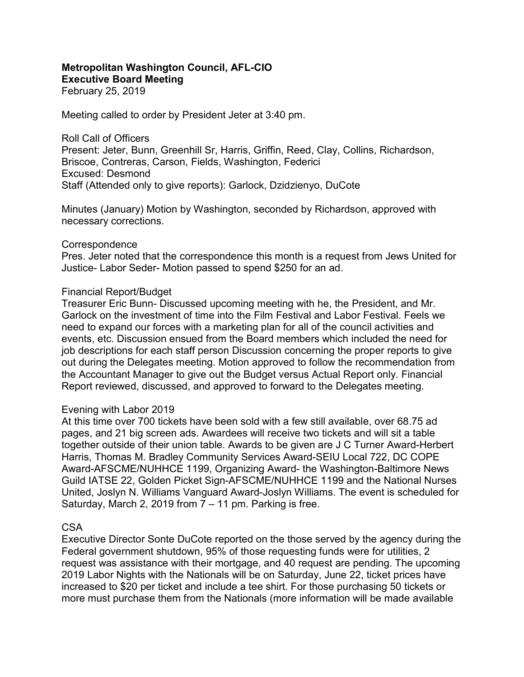#### Metropolitan Washington Council, AFL-CIO Executive Board Meeting

February 25, 2019

Meeting called to order by President Jeter at 3:40 pm.

Roll Call of Officers Present: Jeter, Bunn, Greenhill Sr, Harris, Griffin, Reed, Clay, Collins, Richardson, Briscoe, Contreras, Carson, Fields, Washington, Federici Excused: Desmond Staff (Attended only to give reports): Garlock, Dzidzienyo, DuCote

Minutes (January) Motion by Washington, seconded by Richardson, approved with necessary corrections.

#### **Correspondence**

Pres. Jeter noted that the correspondence this month is a request from Jews United for Justice- Labor Seder- Motion passed to spend \$250 for an ad.

### Financial Report/Budget

Treasurer Eric Bunn- Discussed upcoming meeting with he, the President, and Mr. Garlock on the investment of time into the Film Festival and Labor Festival. Feels we need to expand our forces with a marketing plan for all of the council activities and events, etc. Discussion ensued from the Board members which included the need for job descriptions for each staff person Discussion concerning the proper reports to give out during the Delegates meeting. Motion approved to follow the recommendation from the Accountant Manager to give out the Budget versus Actual Report only. Financial Report reviewed, discussed, and approved to forward to the Delegates meeting.

#### Evening with Labor 2019

At this time over 700 tickets have been sold with a few still available, over 68.75 ad pages, and 21 big screen ads. Awardees will receive two tickets and will sit a table together outside of their union table. Awards to be given are J C Turner Award-Herbert Harris, Thomas M. Bradley Community Services Award-SEIU Local 722, DC COPE Award-AFSCME/NUHHCE 1199, Organizing Award- the Washington-Baltimore News Guild IATSE 22, Golden Picket Sign-AFSCME/NUHHCE 1199 and the National Nurses United, Joslyn N. Williams Vanguard Award-Joslyn Williams. The event is scheduled for Saturday, March 2, 2019 from 7 – 11 pm. Parking is free.

#### CSA

Executive Director Sonte DuCote reported on the those served by the agency during the Federal government shutdown, 95% of those requesting funds were for utilities, 2 request was assistance with their mortgage, and 40 request are pending. The upcoming 2019 Labor Nights with the Nationals will be on Saturday, June 22, ticket prices have increased to \$20 per ticket and include a tee shirt. For those purchasing 50 tickets or more must purchase them from the Nationals (more information will be made available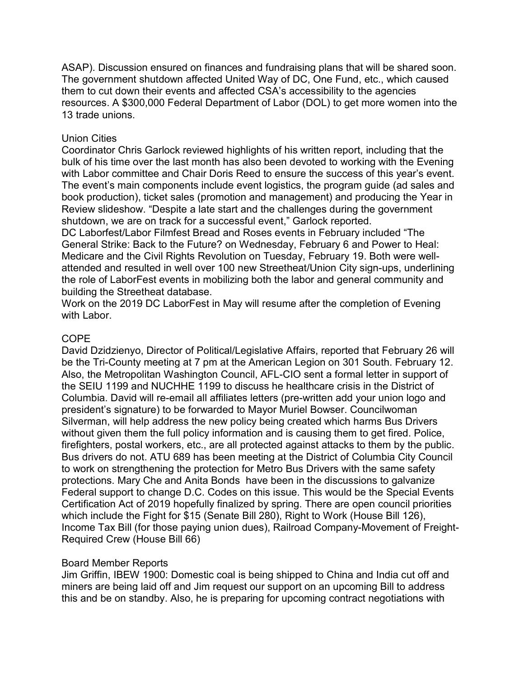ASAP). Discussion ensured on finances and fundraising plans that will be shared soon. The government shutdown affected United Way of DC, One Fund, etc., which caused them to cut down their events and affected CSA's accessibility to the agencies resources. A \$300,000 Federal Department of Labor (DOL) to get more women into the 13 trade unions.

## Union Cities

Coordinator Chris Garlock reviewed highlights of his written report, including that the bulk of his time over the last month has also been devoted to working with the Evening with Labor committee and Chair Doris Reed to ensure the success of this year's event. The event's main components include event logistics, the program guide (ad sales and book production), ticket sales (promotion and management) and producing the Year in Review slideshow. "Despite a late start and the challenges during the government shutdown, we are on track for a successful event," Garlock reported.

DC Laborfest/Labor Filmfest Bread and Roses events in February included "The General Strike: Back to the Future? on Wednesday, February 6 and Power to Heal: Medicare and the Civil Rights Revolution on Tuesday, February 19. Both were wellattended and resulted in well over 100 new Streetheat/Union City sign-ups, underlining the role of LaborFest events in mobilizing both the labor and general community and building the Streetheat database.

Work on the 2019 DC LaborFest in May will resume after the completion of Evening with Labor.

# COPE

David Dzidzienyo, Director of Political/Legislative Affairs, reported that February 26 will be the Tri-County meeting at 7 pm at the American Legion on 301 South. February 12. Also, the Metropolitan Washington Council, AFL-CIO sent a formal letter in support of the SEIU 1199 and NUCHHE 1199 to discuss he healthcare crisis in the District of Columbia. David will re-email all affiliates letters (pre-written add your union logo and president's signature) to be forwarded to Mayor Muriel Bowser. Councilwoman Silverman, will help address the new policy being created which harms Bus Drivers without given them the full policy information and is causing them to get fired. Police, firefighters, postal workers, etc., are all protected against attacks to them by the public. Bus drivers do not. ATU 689 has been meeting at the District of Columbia City Council to work on strengthening the protection for Metro Bus Drivers with the same safety protections. Mary Che and Anita Bonds have been in the discussions to galvanize Federal support to change D.C. Codes on this issue. This would be the Special Events Certification Act of 2019 hopefully finalized by spring. There are open council priorities which include the Fight for \$15 (Senate Bill 280), Right to Work (House Bill 126), Income Tax Bill (for those paying union dues), Railroad Company-Movement of Freight-Required Crew (House Bill 66)

## Board Member Reports

Jim Griffin, IBEW 1900: Domestic coal is being shipped to China and India cut off and miners are being laid off and Jim request our support on an upcoming Bill to address this and be on standby. Also, he is preparing for upcoming contract negotiations with